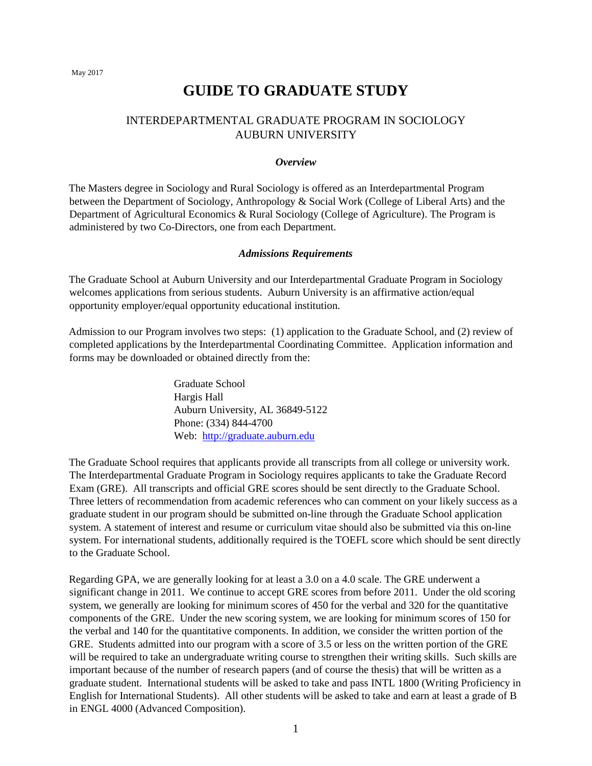May 2017

# **GUIDE TO GRADUATE STUDY**

# INTERDEPARTMENTAL GRADUATE PROGRAM IN SOCIOLOGY AUBURN UNIVERSITY

#### *Overview*

The Masters degree in Sociology and Rural Sociology is offered as an Interdepartmental Program between the Department of Sociology, Anthropology & Social Work (College of Liberal Arts) and the Department of Agricultural Economics & Rural Sociology (College of Agriculture). The Program is administered by two Co-Directors, one from each Department.

## *Admissions Requirements*

The Graduate School at Auburn University and our Interdepartmental Graduate Program in Sociology welcomes applications from serious students. Auburn University is an affirmative action/equal opportunity employer/equal opportunity educational institution.

Admission to our Program involves two steps: (1) application to the Graduate School, and (2) review of completed applications by the Interdepartmental Coordinating Committee. Application information and forms may be downloaded or obtained directly from the:

> Graduate School Hargis Hall Auburn University, AL 36849-5122 Phone: (334) 844-4700 Web: http://graduate.auburn.edu

The Graduate School requires that applicants provide all transcripts from all college or university work. The Interdepartmental Graduate Program in Sociology requires applicants to take the Graduate Record Exam (GRE). All transcripts and official GRE scores should be sent directly to the Graduate School. Three letters of recommendation from academic references who can comment on your likely success as a graduate student in our program should be submitted on-line through the Graduate School application system. A statement of interest and resume or curriculum vitae should also be submitted via this on-line system. For international students, additionally required is the TOEFL score which should be sent directly to the Graduate School.

Regarding GPA, we are generally looking for at least a 3.0 on a 4.0 scale. The GRE underwent a significant change in 2011. We continue to accept GRE scores from before 2011. Under the old scoring system, we generally are looking for minimum scores of 450 for the verbal and 320 for the quantitative components of the GRE. Under the new scoring system, we are looking for minimum scores of 150 for the verbal and 140 for the quantitative components. In addition, we consider the written portion of the GRE. Students admitted into our program with a score of 3.5 or less on the written portion of the GRE will be required to take an undergraduate writing course to strengthen their writing skills. Such skills are important because of the number of research papers (and of course the thesis) that will be written as a graduate student. International students will be asked to take and pass INTL 1800 (Writing Proficiency in English for International Students). All other students will be asked to take and earn at least a grade of B in ENGL 4000 (Advanced Composition).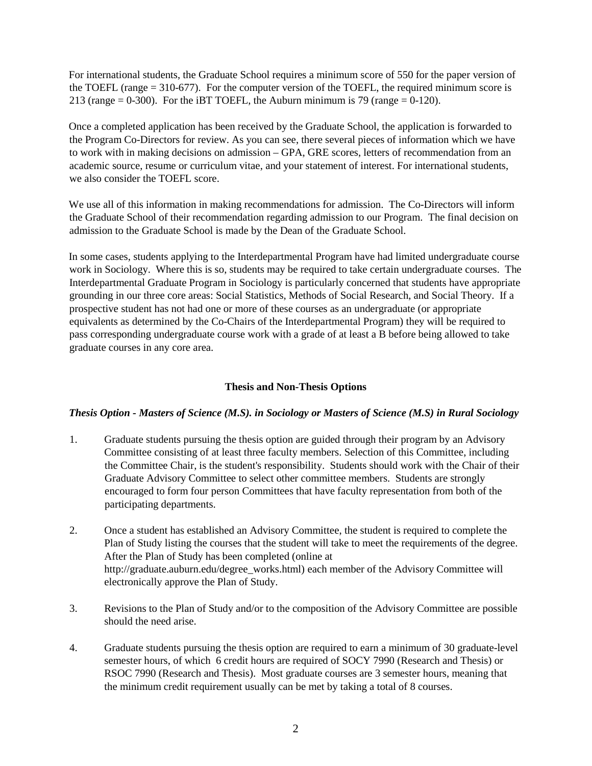For international students, the Graduate School requires a minimum score of 550 for the paper version of the TOEFL (range  $= 310-677$ ). For the computer version of the TOEFL, the required minimum score is 213 (range  $= 0-300$ ). For the iBT TOEFL, the Auburn minimum is 79 (range  $= 0-120$ ).

Once a completed application has been received by the Graduate School, the application is forwarded to the Program Co-Directors for review. As you can see, there several pieces of information which we have to work with in making decisions on admission – GPA, GRE scores, letters of recommendation from an academic source, resume or curriculum vitae, and your statement of interest. For international students, we also consider the TOEFL score.

We use all of this information in making recommendations for admission. The Co-Directors will inform the Graduate School of their recommendation regarding admission to our Program. The final decision on admission to the Graduate School is made by the Dean of the Graduate School.

In some cases, students applying to the Interdepartmental Program have had limited undergraduate course work in Sociology. Where this is so, students may be required to take certain undergraduate courses. The Interdepartmental Graduate Program in Sociology is particularly concerned that students have appropriate grounding in our three core areas: Social Statistics, Methods of Social Research, and Social Theory. If a prospective student has not had one or more of these courses as an undergraduate (or appropriate equivalents as determined by the Co-Chairs of the Interdepartmental Program) they will be required to pass corresponding undergraduate course work with a grade of at least a B before being allowed to take graduate courses in any core area.

## **Thesis and Non-Thesis Options**

## *Thesis Option - Masters of Science (M.S). in Sociology or Masters of Science (M.S) in Rural Sociology*

- 1. Graduate students pursuing the thesis option are guided through their program by an Advisory Committee consisting of at least three faculty members. Selection of this Committee, including the Committee Chair, is the student's responsibility. Students should work with the Chair of their Graduate Advisory Committee to select other committee members. Students are strongly encouraged to form four person Committees that have faculty representation from both of the participating departments.
- 2. Once a student has established an Advisory Committee, the student is required to complete the Plan of Study listing the courses that the student will take to meet the requirements of the degree. After the Plan of Study has been completed (online at http://graduate.auburn.edu/degree\_works.html) each member of the Advisory Committee will electronically approve the Plan of Study.
- 3. Revisions to the Plan of Study and/or to the composition of the Advisory Committee are possible should the need arise.
- 4. Graduate students pursuing the thesis option are required to earn a minimum of 30 graduate-level semester hours, of which 6 credit hours are required of SOCY 7990 (Research and Thesis) or RSOC 7990 (Research and Thesis). Most graduate courses are 3 semester hours, meaning that the minimum credit requirement usually can be met by taking a total of 8 courses.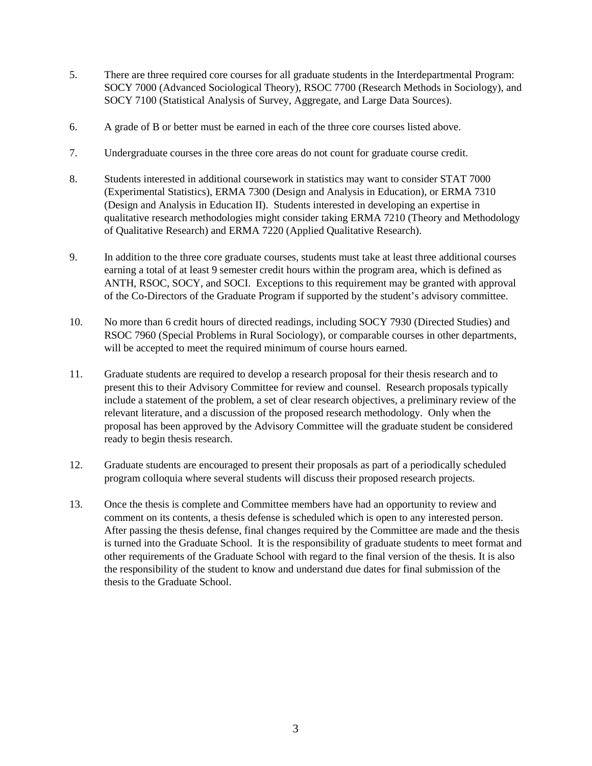- 5. There are three required core courses for all graduate students in the Interdepartmental Program: SOCY 7000 (Advanced Sociological Theory), RSOC 7700 (Research Methods in Sociology), and SOCY 7100 (Statistical Analysis of Survey, Aggregate, and Large Data Sources).
- 6. A grade of B or better must be earned in each of the three core courses listed above.
- 7. Undergraduate courses in the three core areas do not count for graduate course credit.
- 8. Students interested in additional coursework in statistics may want to consider STAT 7000 (Experimental Statistics), ERMA 7300 (Design and Analysis in Education), or ERMA 7310 (Design and Analysis in Education II). Students interested in developing an expertise in qualitative research methodologies might consider taking ERMA 7210 (Theory and Methodology of Qualitative Research) and ERMA 7220 (Applied Qualitative Research).
- 9. In addition to the three core graduate courses, students must take at least three additional courses earning a total of at least 9 semester credit hours within the program area, which is defined as ANTH, RSOC, SOCY, and SOCI. Exceptions to this requirement may be granted with approval of the Co-Directors of the Graduate Program if supported by the student's advisory committee.
- 10. No more than 6 credit hours of directed readings, including SOCY 7930 (Directed Studies) and RSOC 7960 (Special Problems in Rural Sociology), or comparable courses in other departments, will be accepted to meet the required minimum of course hours earned.
- 11. Graduate students are required to develop a research proposal for their thesis research and to present this to their Advisory Committee for review and counsel. Research proposals typically include a statement of the problem, a set of clear research objectives, a preliminary review of the relevant literature, and a discussion of the proposed research methodology. Only when the proposal has been approved by the Advisory Committee will the graduate student be considered ready to begin thesis research.
- 12. Graduate students are encouraged to present their proposals as part of a periodically scheduled program colloquia where several students will discuss their proposed research projects.
- 13. Once the thesis is complete and Committee members have had an opportunity to review and comment on its contents, a thesis defense is scheduled which is open to any interested person. After passing the thesis defense, final changes required by the Committee are made and the thesis is turned into the Graduate School. It is the responsibility of graduate students to meet format and other requirements of the Graduate School with regard to the final version of the thesis. It is also the responsibility of the student to know and understand due dates for final submission of the thesis to the Graduate School.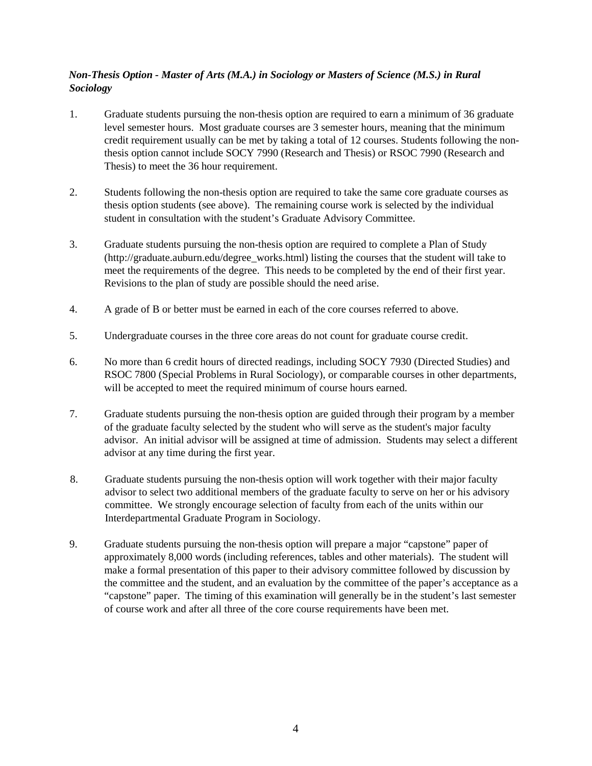## *Non-Thesis Option - Master of Arts (M.A.) in Sociology or Masters of Science (M.S.) in Rural Sociology*

- 1. Graduate students pursuing the non-thesis option are required to earn a minimum of 36 graduate level semester hours. Most graduate courses are 3 semester hours, meaning that the minimum credit requirement usually can be met by taking a total of 12 courses. Students following the nonthesis option cannot include SOCY 7990 (Research and Thesis) or RSOC 7990 (Research and Thesis) to meet the 36 hour requirement.
- 2. Students following the non-thesis option are required to take the same core graduate courses as thesis option students (see above). The remaining course work is selected by the individual student in consultation with the student's Graduate Advisory Committee.
- 3. Graduate students pursuing the non-thesis option are required to complete a Plan of Study (http://graduate.auburn.edu/degree\_works.html) listing the courses that the student will take to meet the requirements of the degree. This needs to be completed by the end of their first year. Revisions to the plan of study are possible should the need arise.
- 4. A grade of B or better must be earned in each of the core courses referred to above.
- 5. Undergraduate courses in the three core areas do not count for graduate course credit.
- 6. No more than 6 credit hours of directed readings, including SOCY 7930 (Directed Studies) and RSOC 7800 (Special Problems in Rural Sociology), or comparable courses in other departments, will be accepted to meet the required minimum of course hours earned.
- 7. Graduate students pursuing the non-thesis option are guided through their program by a member of the graduate faculty selected by the student who will serve as the student's major faculty advisor. An initial advisor will be assigned at time of admission. Students may select a different advisor at any time during the first year.
- 8. Graduate students pursuing the non-thesis option will work together with their major faculty advisor to select two additional members of the graduate faculty to serve on her or his advisory committee. We strongly encourage selection of faculty from each of the units within our Interdepartmental Graduate Program in Sociology.
- 9. Graduate students pursuing the non-thesis option will prepare a major "capstone" paper of approximately 8,000 words (including references, tables and other materials). The student will make a formal presentation of this paper to their advisory committee followed by discussion by the committee and the student, and an evaluation by the committee of the paper's acceptance as a "capstone" paper. The timing of this examination will generally be in the student's last semester of course work and after all three of the core course requirements have been met.